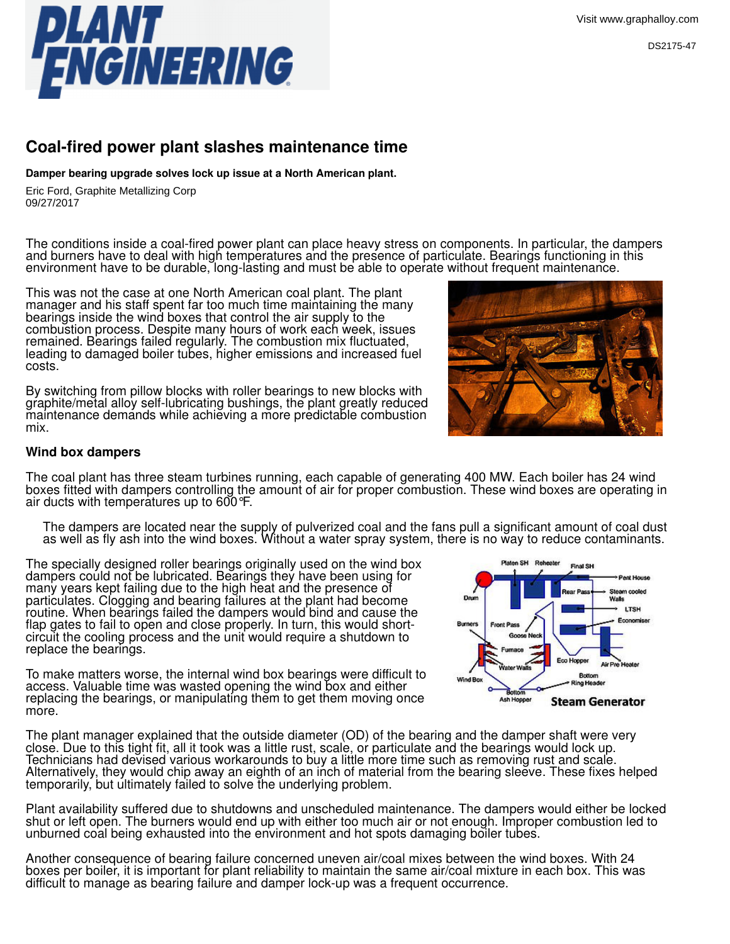

## **Coal-fired power plant slashes maintenance time**

**Damper bearing upgrade solves lock up issue at a North American plant.**

09/27/2017 09/27/2017Eric Ford, Graphite Metalizing Corp. Eric Ford, Graphite Metallizing Corp

The conditions inside a coal-fired power plant can place heavy stress on components. In particular, the dampers and burners have to deal with high temperatures and the presence of particulate. Bearings functioning in this environment have to be durable, long-lasting and must be able to operate without frequent maintenance.

This was not the case at one North American coal plant. The plant manager and his staff spent far too much time maintaining the many bearings inside the wind boxes that control the air supply to the combustion process. Despite many hours of work each week, issues remained. Bearings failed regularly. The combustion mix fluctuated, leading to damaged boiler tubes, higher emissions and increased fuel costs.

By switching from pillow blocks with roller bearings to new blocks with graphite/metal alloy self-lubricating bushings, the plant greatly reduced maintenance demands while achieving a more predictable combustion mix.

## **Wind box dampers**

The coal plant has three steam turbines running, each capable of generating 400 MW. Each boiler has 24 wind boxes fitted with dampers controlling the amount of air for proper combustion. These wind boxes are operating in air ducts with temperatures up to 600°F.

The dampers are located near the supply of pulverized coal and the fans pull a significant amount of coal dust as well as fly ash into the wind boxes. Without a water spray system, there is no way to reduce contaminants.

The specially designed roller bearings originally used on the wind box dampers could not be lubricated. Bearings they have been using for many years kept failing due to the high heat and the presence of particulates. Clogging and bearing failures at the plant had become routine. When bearings failed the dampers would bind and cause the flap gates to fail to open and close properly. In turn, this would shortcircuit the cooling process and the unit would require a shutdown to replace the bearings.

To make matters worse, the internal wind box bearings were difficult to access. Valuable time was wasted opening the wind box and either replacing the bearings, or manipulating them to get them moving once more.

The plant manager explained that the outside diameter (OD) of the bearing and the damper shaft were very close. Due to this tight fit, all it took was a little rust, scale, or particulate and the bearings would lock up. Technicians had devised various workarounds to buy a little more time such as removing rust and scale. Alternatively, they would chip away an eighth of an inch of material from the bearing sleeve. These fixes helped temporarily, but ultimately failed to solve the underlying problem.

Plant availability suffered due to shutdowns and unscheduled maintenance. The dampers would either be locked shut or left open. The burners would end up with either too much air or not enough. Improper combustion led to unburned coal being exhausted into the environment and hot spots damaging boiler tubes.

Another consequence of bearing failure concerned uneven air/coal mixes between the wind boxes. With 24 boxes per boiler, it is important for plant reliability to maintain the same air/coal mixture in each box. This was difficult to manage as bearing failure and damper lock-up was a frequent occurrence.



n SH Reheater

**Front Pass** 

Ash Hopper

Wind Box

Final SH

Eco Hopper

**Botton** 

ng Heade

**Steam Generator** 

Pent House team cooled Walls **LTSH** Economiser

Air Pre Heater

DS2175-47